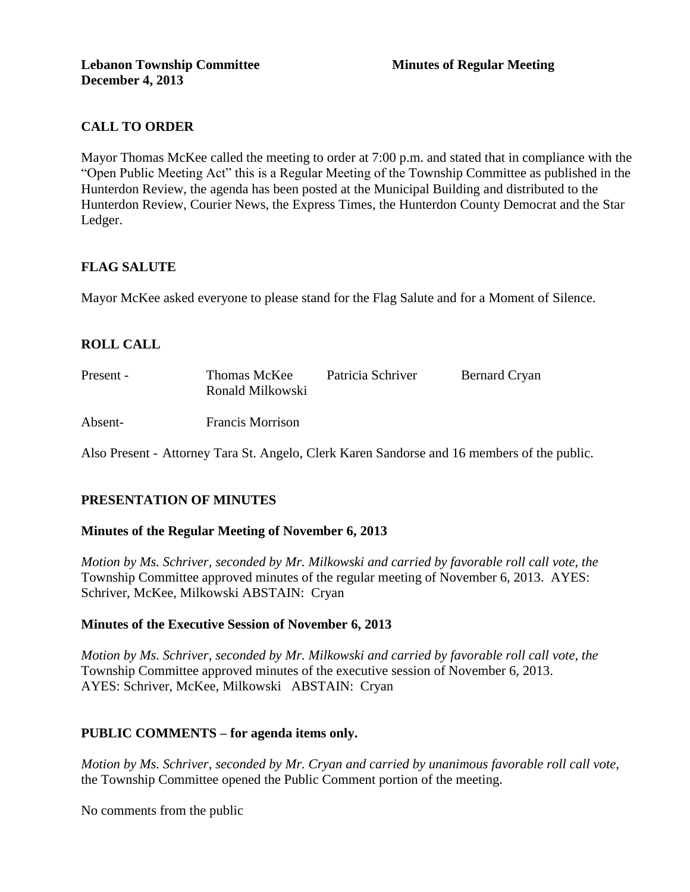# **CALL TO ORDER**

Mayor Thomas McKee called the meeting to order at 7:00 p.m. and stated that in compliance with the "Open Public Meeting Act" this is a Regular Meeting of the Township Committee as published in the Hunterdon Review, the agenda has been posted at the Municipal Building and distributed to the Hunterdon Review, Courier News, the Express Times, the Hunterdon County Democrat and the Star Ledger.

## **FLAG SALUTE**

Mayor McKee asked everyone to please stand for the Flag Salute and for a Moment of Silence.

## **ROLL CALL**

| Present - | Thomas McKee<br>Ronald Milkowski | Patricia Schriver | <b>Bernard Cryan</b> |
|-----------|----------------------------------|-------------------|----------------------|
| Absent-   | <b>Francis Morrison</b>          |                   |                      |

Also Present - Attorney Tara St. Angelo, Clerk Karen Sandorse and 16 members of the public.

## **PRESENTATION OF MINUTES**

### **Minutes of the Regular Meeting of November 6, 2013**

*Motion by Ms. Schriver, seconded by Mr. Milkowski and carried by favorable roll call vote, the* Township Committee approved minutes of the regular meeting of November 6, 2013. AYES: Schriver, McKee, Milkowski ABSTAIN: Cryan

### **Minutes of the Executive Session of November 6, 2013**

*Motion by Ms. Schriver, seconded by Mr. Milkowski and carried by favorable roll call vote, the*  Township Committee approved minutes of the executive session of November 6, 2013. AYES: Schriver, McKee, Milkowski ABSTAIN: Cryan

### **PUBLIC COMMENTS – for agenda items only.**

*Motion by Ms. Schriver, seconded by Mr. Cryan and carried by unanimous favorable roll call vote,* the Township Committee opened the Public Comment portion of the meeting.

No comments from the public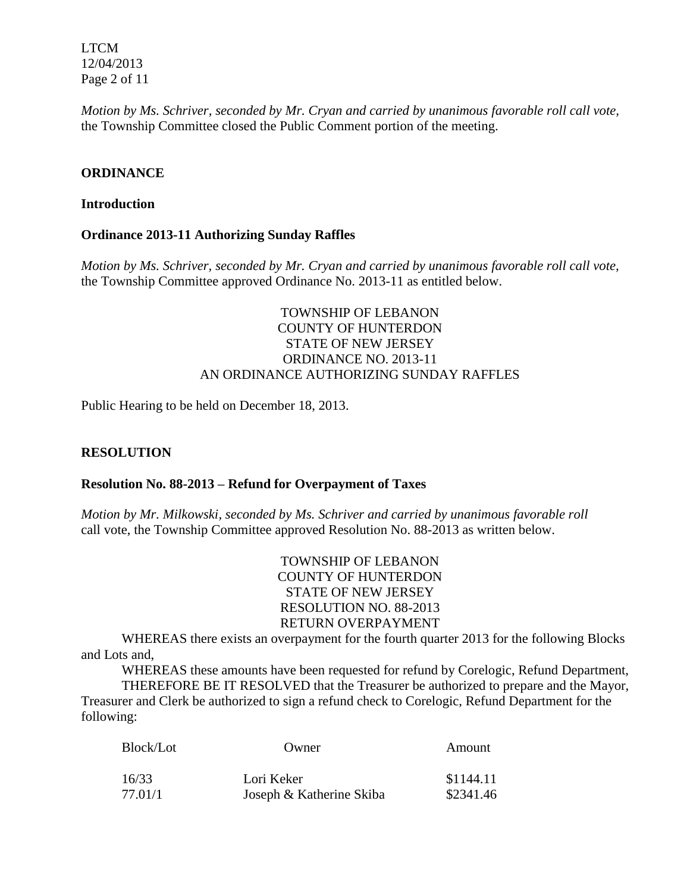LTCM 12/04/2013 Page 2 of 11

*Motion by Ms. Schriver, seconded by Mr. Cryan and carried by unanimous favorable roll call vote,* the Township Committee closed the Public Comment portion of the meeting.

### **ORDINANCE**

#### **Introduction**

### **Ordinance 2013-11 Authorizing Sunday Raffles**

*Motion by Ms. Schriver, seconded by Mr. Cryan and carried by unanimous favorable roll call vote,* the Township Committee approved Ordinance No. 2013-11 as entitled below.

## TOWNSHIP OF LEBANON COUNTY OF HUNTERDON STATE OF NEW JERSEY ORDINANCE NO. 2013-11 AN ORDINANCE AUTHORIZING SUNDAY RAFFLES

Public Hearing to be held on December 18, 2013.

### **RESOLUTION**

### **Resolution No. 88-2013 – Refund for Overpayment of Taxes**

*Motion by Mr. Milkowski, seconded by Ms. Schriver and carried by unanimous favorable roll*  call vote, the Township Committee approved Resolution No. 88-2013 as written below.

> TOWNSHIP OF LEBANON COUNTY OF HUNTERDON STATE OF NEW JERSEY RESOLUTION NO. 88-2013 RETURN OVERPAYMENT

WHEREAS there exists an overpayment for the fourth quarter 2013 for the following Blocks and Lots and,

WHEREAS these amounts have been requested for refund by Corelogic, Refund Department, THEREFORE BE IT RESOLVED that the Treasurer be authorized to prepare and the Mayor,

Treasurer and Clerk be authorized to sign a refund check to Corelogic, Refund Department for the following:

| Block/Lot | Owner                    | Amount    |
|-----------|--------------------------|-----------|
| 16/33     | Lori Keker               | \$1144.11 |
| 77.01/1   | Joseph & Katherine Skiba | \$2341.46 |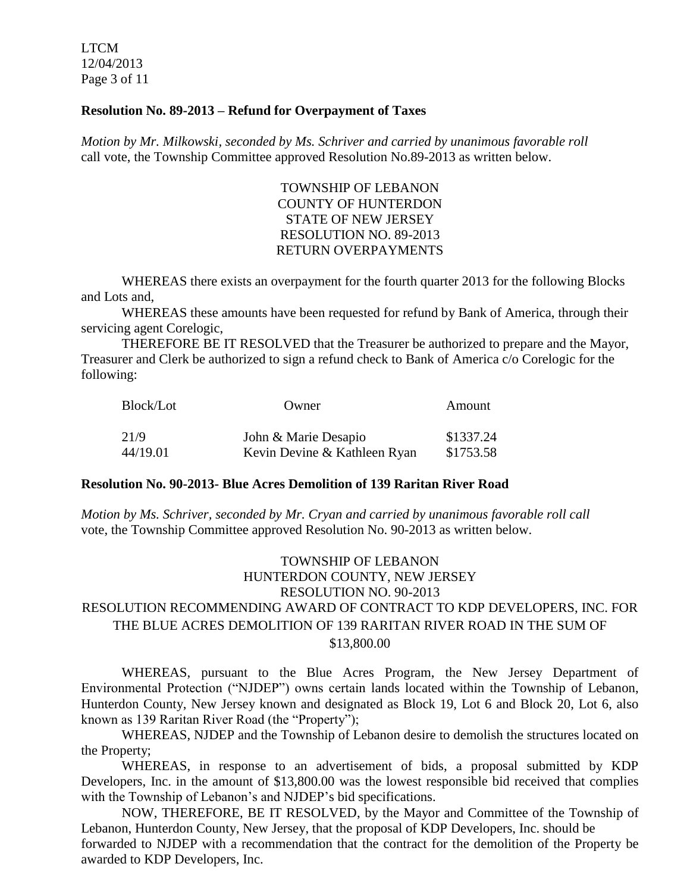LTCM 12/04/2013 Page 3 of 11

#### **Resolution No. 89-2013 – Refund for Overpayment of Taxes**

*Motion by Mr. Milkowski, seconded by Ms. Schriver and carried by unanimous favorable roll*  call vote, the Township Committee approved Resolution No.89-2013 as written below.

> TOWNSHIP OF LEBANON COUNTY OF HUNTERDON STATE OF NEW JERSEY RESOLUTION NO. 89-2013 RETURN OVERPAYMENTS

WHEREAS there exists an overpayment for the fourth quarter 2013 for the following Blocks and Lots and,

WHEREAS these amounts have been requested for refund by Bank of America, through their servicing agent Corelogic,

THEREFORE BE IT RESOLVED that the Treasurer be authorized to prepare and the Mayor, Treasurer and Clerk be authorized to sign a refund check to Bank of America c/o Corelogic for the following:

| Block/Lot | Owner                        | Amount    |
|-----------|------------------------------|-----------|
| 21/9      | John & Marie Desapio         | \$1337.24 |
| 44/19.01  | Kevin Devine & Kathleen Ryan | \$1753.58 |

#### **Resolution No. 90-2013- Blue Acres Demolition of 139 Raritan River Road**

*Motion by Ms. Schriver, seconded by Mr. Cryan and carried by unanimous favorable roll call*  vote, the Township Committee approved Resolution No. 90-2013 as written below.

## TOWNSHIP OF LEBANON HUNTERDON COUNTY, NEW JERSEY RESOLUTION NO. 90-2013 RESOLUTION RECOMMENDING AWARD OF CONTRACT TO KDP DEVELOPERS, INC. FOR THE BLUE ACRES DEMOLITION OF 139 RARITAN RIVER ROAD IN THE SUM OF \$13,800.00

WHEREAS, pursuant to the Blue Acres Program, the New Jersey Department of Environmental Protection ("NJDEP") owns certain lands located within the Township of Lebanon, Hunterdon County, New Jersey known and designated as Block 19, Lot 6 and Block 20, Lot 6, also known as 139 Raritan River Road (the "Property");

WHEREAS, NJDEP and the Township of Lebanon desire to demolish the structures located on the Property;

WHEREAS, in response to an advertisement of bids, a proposal submitted by KDP Developers, Inc. in the amount of \$13,800.00 was the lowest responsible bid received that complies with the Township of Lebanon's and NJDEP's bid specifications.

NOW, THEREFORE, BE IT RESOLVED, by the Mayor and Committee of the Township of Lebanon, Hunterdon County, New Jersey, that the proposal of KDP Developers, Inc. should be forwarded to NJDEP with a recommendation that the contract for the demolition of the Property be awarded to KDP Developers, Inc.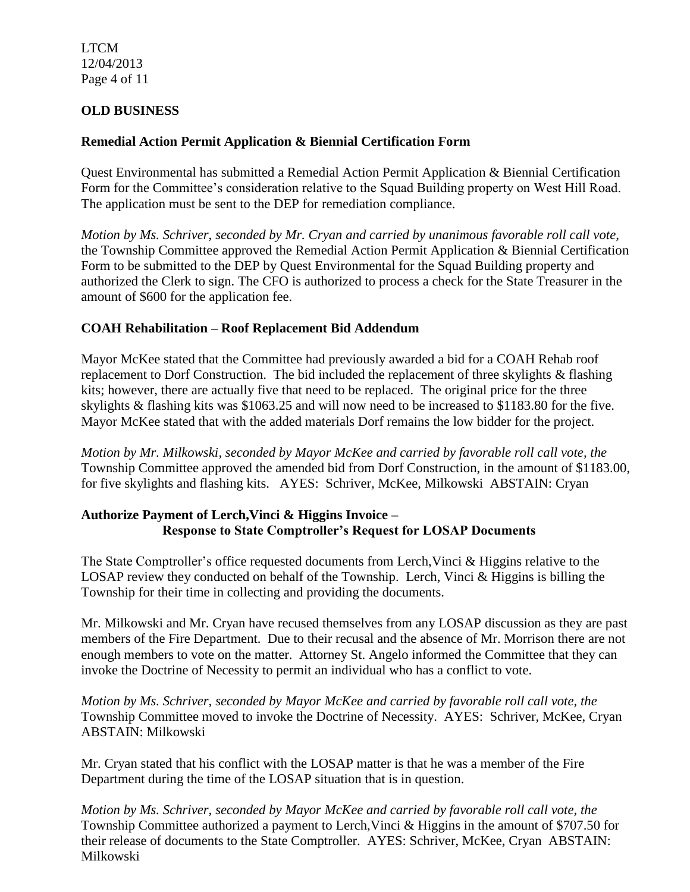LTCM 12/04/2013 Page 4 of 11

## **OLD BUSINESS**

## **Remedial Action Permit Application & Biennial Certification Form**

Quest Environmental has submitted a Remedial Action Permit Application & Biennial Certification Form for the Committee's consideration relative to the Squad Building property on West Hill Road. The application must be sent to the DEP for remediation compliance.

*Motion by Ms. Schriver, seconded by Mr. Cryan and carried by unanimous favorable roll call vote,* the Township Committee approved the Remedial Action Permit Application & Biennial Certification Form to be submitted to the DEP by Quest Environmental for the Squad Building property and authorized the Clerk to sign. The CFO is authorized to process a check for the State Treasurer in the amount of \$600 for the application fee.

# **COAH Rehabilitation – Roof Replacement Bid Addendum**

Mayor McKee stated that the Committee had previously awarded a bid for a COAH Rehab roof replacement to Dorf Construction. The bid included the replacement of three skylights & flashing kits; however, there are actually five that need to be replaced. The original price for the three skylights & flashing kits was \$1063.25 and will now need to be increased to \$1183.80 for the five. Mayor McKee stated that with the added materials Dorf remains the low bidder for the project.

*Motion by Mr. Milkowski, seconded by Mayor McKee and carried by favorable roll call vote, the* Township Committee approved the amended bid from Dorf Construction, in the amount of \$1183.00, for five skylights and flashing kits. AYES: Schriver, McKee, Milkowski ABSTAIN: Cryan

## **Authorize Payment of Lerch,Vinci & Higgins Invoice – Response to State Comptroller's Request for LOSAP Documents**

The State Comptroller's office requested documents from Lerch,Vinci & Higgins relative to the LOSAP review they conducted on behalf of the Township. Lerch, Vinci & Higgins is billing the Township for their time in collecting and providing the documents.

Mr. Milkowski and Mr. Cryan have recused themselves from any LOSAP discussion as they are past members of the Fire Department. Due to their recusal and the absence of Mr. Morrison there are not enough members to vote on the matter. Attorney St. Angelo informed the Committee that they can invoke the Doctrine of Necessity to permit an individual who has a conflict to vote.

*Motion by Ms. Schriver, seconded by Mayor McKee and carried by favorable roll call vote, the* Township Committee moved to invoke the Doctrine of Necessity. AYES: Schriver, McKee, Cryan ABSTAIN: Milkowski

Mr. Cryan stated that his conflict with the LOSAP matter is that he was a member of the Fire Department during the time of the LOSAP situation that is in question.

*Motion by Ms. Schriver, seconded by Mayor McKee and carried by favorable roll call vote, the* Township Committee authorized a payment to Lerch,Vinci & Higgins in the amount of \$707.50 for their release of documents to the State Comptroller. AYES: Schriver, McKee, Cryan ABSTAIN: Milkowski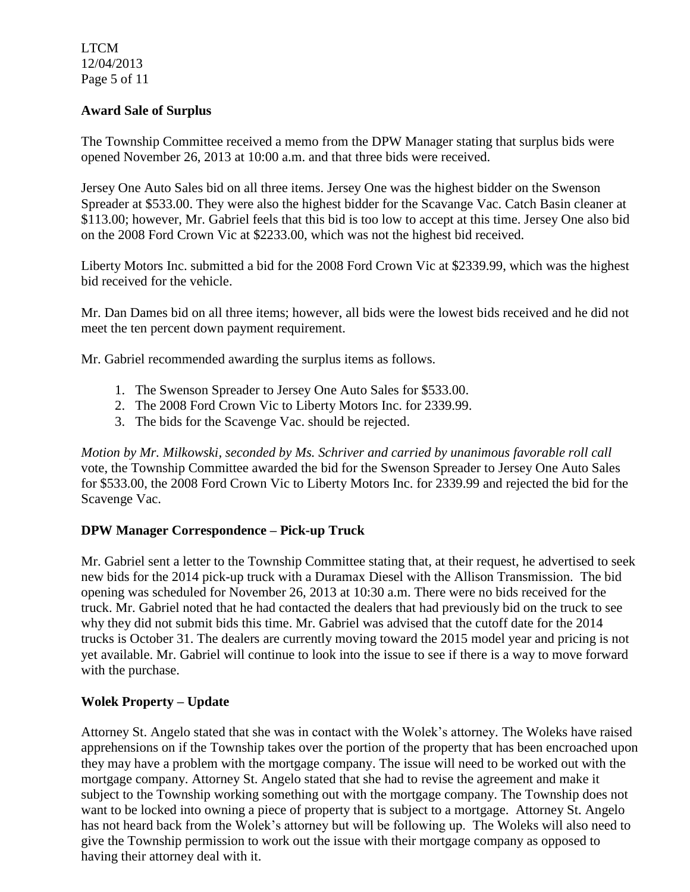LTCM 12/04/2013 Page 5 of 11

### **Award Sale of Surplus**

The Township Committee received a memo from the DPW Manager stating that surplus bids were opened November 26, 2013 at 10:00 a.m. and that three bids were received.

Jersey One Auto Sales bid on all three items. Jersey One was the highest bidder on the Swenson Spreader at \$533.00. They were also the highest bidder for the Scavange Vac. Catch Basin cleaner at \$113.00; however, Mr. Gabriel feels that this bid is too low to accept at this time. Jersey One also bid on the 2008 Ford Crown Vic at \$2233.00, which was not the highest bid received.

Liberty Motors Inc. submitted a bid for the 2008 Ford Crown Vic at \$2339.99, which was the highest bid received for the vehicle.

Mr. Dan Dames bid on all three items; however, all bids were the lowest bids received and he did not meet the ten percent down payment requirement.

Mr. Gabriel recommended awarding the surplus items as follows.

- 1. The Swenson Spreader to Jersey One Auto Sales for \$533.00.
- 2. The 2008 Ford Crown Vic to Liberty Motors Inc. for 2339.99.
- 3. The bids for the Scavenge Vac. should be rejected.

*Motion by Mr. Milkowski, seconded by Ms. Schriver and carried by unanimous favorable roll call*  vote, the Township Committee awarded the bid for the Swenson Spreader to Jersey One Auto Sales for \$533.00, the 2008 Ford Crown Vic to Liberty Motors Inc. for 2339.99 and rejected the bid for the Scavenge Vac.

### **DPW Manager Correspondence – Pick-up Truck**

Mr. Gabriel sent a letter to the Township Committee stating that, at their request, he advertised to seek new bids for the 2014 pick-up truck with a Duramax Diesel with the Allison Transmission. The bid opening was scheduled for November 26, 2013 at 10:30 a.m. There were no bids received for the truck. Mr. Gabriel noted that he had contacted the dealers that had previously bid on the truck to see why they did not submit bids this time. Mr. Gabriel was advised that the cutoff date for the 2014 trucks is October 31. The dealers are currently moving toward the 2015 model year and pricing is not yet available. Mr. Gabriel will continue to look into the issue to see if there is a way to move forward with the purchase.

### **Wolek Property – Update**

Attorney St. Angelo stated that she was in contact with the Wolek's attorney. The Woleks have raised apprehensions on if the Township takes over the portion of the property that has been encroached upon they may have a problem with the mortgage company. The issue will need to be worked out with the mortgage company. Attorney St. Angelo stated that she had to revise the agreement and make it subject to the Township working something out with the mortgage company. The Township does not want to be locked into owning a piece of property that is subject to a mortgage. Attorney St. Angelo has not heard back from the Wolek's attorney but will be following up. The Woleks will also need to give the Township permission to work out the issue with their mortgage company as opposed to having their attorney deal with it.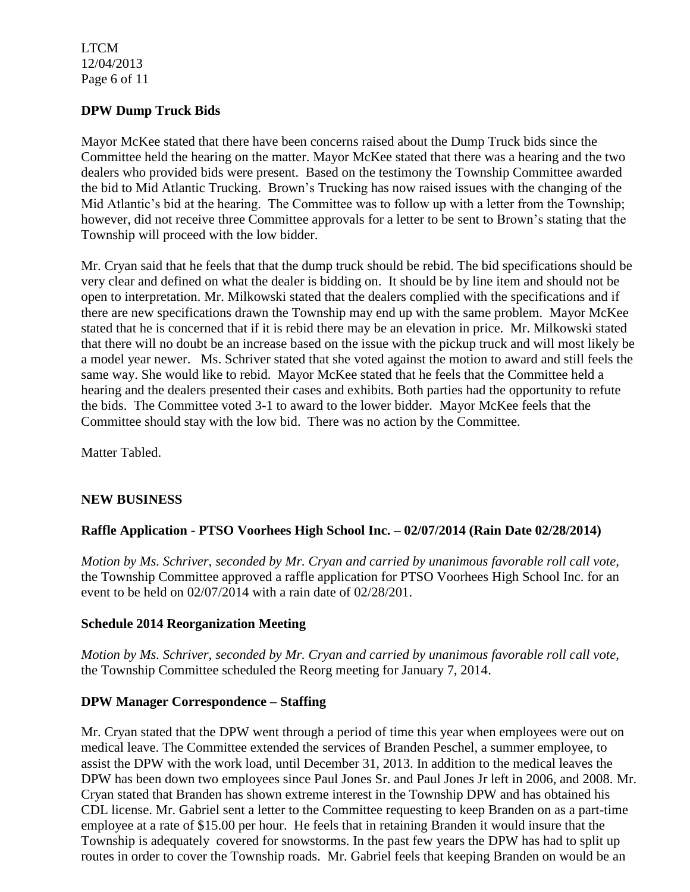LTCM 12/04/2013 Page 6 of 11

### **DPW Dump Truck Bids**

Mayor McKee stated that there have been concerns raised about the Dump Truck bids since the Committee held the hearing on the matter. Mayor McKee stated that there was a hearing and the two dealers who provided bids were present. Based on the testimony the Township Committee awarded the bid to Mid Atlantic Trucking. Brown's Trucking has now raised issues with the changing of the Mid Atlantic's bid at the hearing. The Committee was to follow up with a letter from the Township; however, did not receive three Committee approvals for a letter to be sent to Brown's stating that the Township will proceed with the low bidder.

Mr. Cryan said that he feels that that the dump truck should be rebid. The bid specifications should be very clear and defined on what the dealer is bidding on. It should be by line item and should not be open to interpretation. Mr. Milkowski stated that the dealers complied with the specifications and if there are new specifications drawn the Township may end up with the same problem. Mayor McKee stated that he is concerned that if it is rebid there may be an elevation in price. Mr. Milkowski stated that there will no doubt be an increase based on the issue with the pickup truck and will most likely be a model year newer. Ms. Schriver stated that she voted against the motion to award and still feels the same way. She would like to rebid. Mayor McKee stated that he feels that the Committee held a hearing and the dealers presented their cases and exhibits. Both parties had the opportunity to refute the bids. The Committee voted 3-1 to award to the lower bidder. Mayor McKee feels that the Committee should stay with the low bid. There was no action by the Committee.

Matter Tabled.

### **NEW BUSINESS**

### **Raffle Application - PTSO Voorhees High School Inc. – 02/07/2014 (Rain Date 02/28/2014)**

*Motion by Ms. Schriver, seconded by Mr. Cryan and carried by unanimous favorable roll call vote,* the Township Committee approved a raffle application for PTSO Voorhees High School Inc. for an event to be held on 02/07/2014 with a rain date of 02/28/201.

#### **Schedule 2014 Reorganization Meeting**

*Motion by Ms. Schriver, seconded by Mr. Cryan and carried by unanimous favorable roll call vote,* the Township Committee scheduled the Reorg meeting for January 7, 2014.

### **DPW Manager Correspondence – Staffing**

Mr. Cryan stated that the DPW went through a period of time this year when employees were out on medical leave. The Committee extended the services of Branden Peschel, a summer employee, to assist the DPW with the work load, until December 31, 2013. In addition to the medical leaves the DPW has been down two employees since Paul Jones Sr. and Paul Jones Jr left in 2006, and 2008. Mr. Cryan stated that Branden has shown extreme interest in the Township DPW and has obtained his CDL license. Mr. Gabriel sent a letter to the Committee requesting to keep Branden on as a part-time employee at a rate of \$15.00 per hour. He feels that in retaining Branden it would insure that the Township is adequately covered for snowstorms. In the past few years the DPW has had to split up routes in order to cover the Township roads. Mr. Gabriel feels that keeping Branden on would be an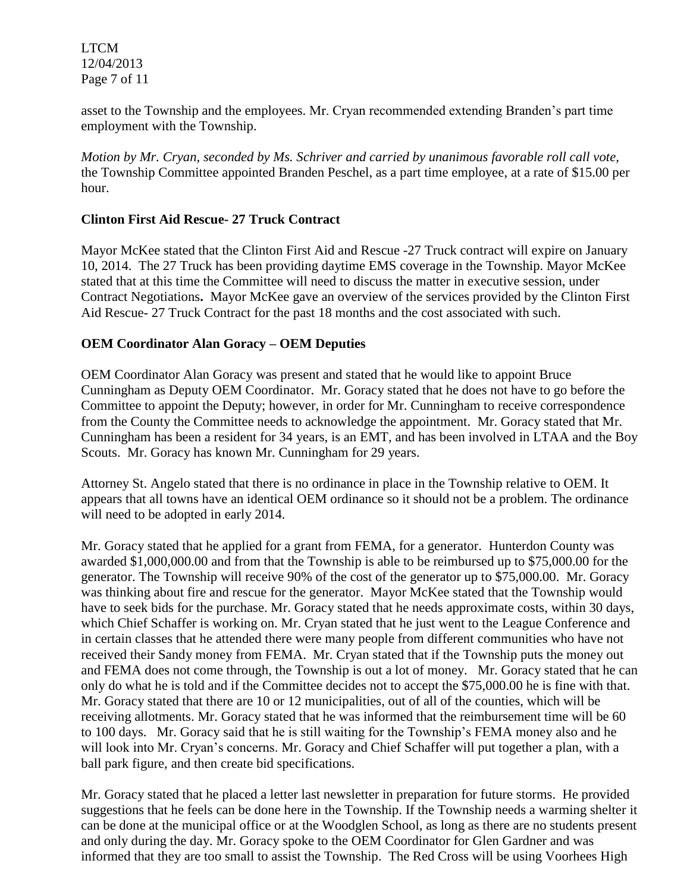LTCM 12/04/2013 Page 7 of 11

asset to the Township and the employees. Mr. Cryan recommended extending Branden's part time employment with the Township.

*Motion by Mr. Cryan, seconded by Ms. Schriver and carried by unanimous favorable roll call vote,* the Township Committee appointed Branden Peschel, as a part time employee, at a rate of \$15.00 per hour.

## **Clinton First Aid Rescue- 27 Truck Contract**

Mayor McKee stated that the Clinton First Aid and Rescue -27 Truck contract will expire on January 10, 2014. The 27 Truck has been providing daytime EMS coverage in the Township. Mayor McKee stated that at this time the Committee will need to discuss the matter in executive session, under Contract Negotiations**.** Mayor McKee gave an overview of the services provided by the Clinton First Aid Rescue- 27 Truck Contract for the past 18 months and the cost associated with such.

### **OEM Coordinator Alan Goracy – OEM Deputies**

OEM Coordinator Alan Goracy was present and stated that he would like to appoint Bruce Cunningham as Deputy OEM Coordinator. Mr. Goracy stated that he does not have to go before the Committee to appoint the Deputy; however, in order for Mr. Cunningham to receive correspondence from the County the Committee needs to acknowledge the appointment. Mr. Goracy stated that Mr. Cunningham has been a resident for 34 years, is an EMT, and has been involved in LTAA and the Boy Scouts. Mr. Goracy has known Mr. Cunningham for 29 years.

Attorney St. Angelo stated that there is no ordinance in place in the Township relative to OEM. It appears that all towns have an identical OEM ordinance so it should not be a problem. The ordinance will need to be adopted in early 2014.

Mr. Goracy stated that he applied for a grant from FEMA, for a generator. Hunterdon County was awarded \$1,000,000.00 and from that the Township is able to be reimbursed up to \$75,000.00 for the generator. The Township will receive 90% of the cost of the generator up to \$75,000.00. Mr. Goracy was thinking about fire and rescue for the generator. Mayor McKee stated that the Township would have to seek bids for the purchase. Mr. Goracy stated that he needs approximate costs, within 30 days, which Chief Schaffer is working on. Mr. Cryan stated that he just went to the League Conference and in certain classes that he attended there were many people from different communities who have not received their Sandy money from FEMA. Mr. Cryan stated that if the Township puts the money out and FEMA does not come through, the Township is out a lot of money. Mr. Goracy stated that he can only do what he is told and if the Committee decides not to accept the \$75,000.00 he is fine with that. Mr. Goracy stated that there are 10 or 12 municipalities, out of all of the counties, which will be receiving allotments. Mr. Goracy stated that he was informed that the reimbursement time will be 60 to 100 days. Mr. Goracy said that he is still waiting for the Township's FEMA money also and he will look into Mr. Cryan's concerns. Mr. Goracy and Chief Schaffer will put together a plan, with a ball park figure, and then create bid specifications.

Mr. Goracy stated that he placed a letter last newsletter in preparation for future storms. He provided suggestions that he feels can be done here in the Township. If the Township needs a warming shelter it can be done at the municipal office or at the Woodglen School, as long as there are no students present and only during the day. Mr. Goracy spoke to the OEM Coordinator for Glen Gardner and was informed that they are too small to assist the Township. The Red Cross will be using Voorhees High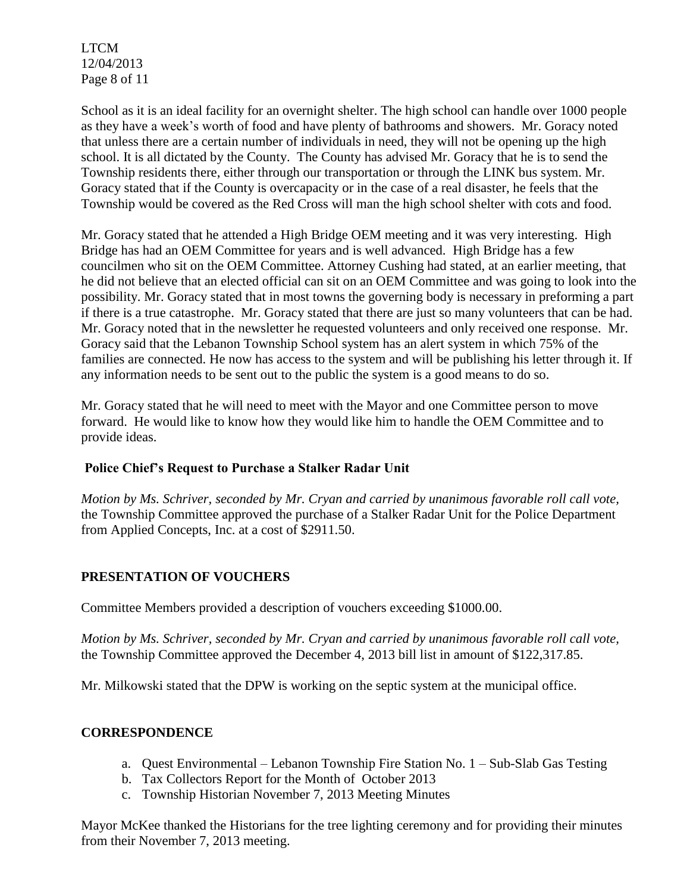LTCM 12/04/2013 Page 8 of 11

School as it is an ideal facility for an overnight shelter. The high school can handle over 1000 people as they have a week's worth of food and have plenty of bathrooms and showers. Mr. Goracy noted that unless there are a certain number of individuals in need, they will not be opening up the high school. It is all dictated by the County. The County has advised Mr. Goracy that he is to send the Township residents there, either through our transportation or through the LINK bus system. Mr. Goracy stated that if the County is overcapacity or in the case of a real disaster, he feels that the Township would be covered as the Red Cross will man the high school shelter with cots and food.

Mr. Goracy stated that he attended a High Bridge OEM meeting and it was very interesting. High Bridge has had an OEM Committee for years and is well advanced. High Bridge has a few councilmen who sit on the OEM Committee. Attorney Cushing had stated, at an earlier meeting, that he did not believe that an elected official can sit on an OEM Committee and was going to look into the possibility. Mr. Goracy stated that in most towns the governing body is necessary in preforming a part if there is a true catastrophe. Mr. Goracy stated that there are just so many volunteers that can be had. Mr. Goracy noted that in the newsletter he requested volunteers and only received one response. Mr. Goracy said that the Lebanon Township School system has an alert system in which 75% of the families are connected. He now has access to the system and will be publishing his letter through it. If any information needs to be sent out to the public the system is a good means to do so.

Mr. Goracy stated that he will need to meet with the Mayor and one Committee person to move forward. He would like to know how they would like him to handle the OEM Committee and to provide ideas.

## **Police Chief's Request to Purchase a Stalker Radar Unit**

*Motion by Ms. Schriver, seconded by Mr. Cryan and carried by unanimous favorable roll call vote,* the Township Committee approved the purchase of a Stalker Radar Unit for the Police Department from Applied Concepts, Inc. at a cost of \$2911.50.

# **PRESENTATION OF VOUCHERS**

Committee Members provided a description of vouchers exceeding \$1000.00.

*Motion by Ms. Schriver, seconded by Mr. Cryan and carried by unanimous favorable roll call vote,* the Township Committee approved the December 4, 2013 bill list in amount of \$122,317.85.

Mr. Milkowski stated that the DPW is working on the septic system at the municipal office.

## **CORRESPONDENCE**

- a. Quest Environmental Lebanon Township Fire Station No. 1 Sub-Slab Gas Testing
- b. Tax Collectors Report for the Month of October 2013
- c. Township Historian November 7, 2013 Meeting Minutes

Mayor McKee thanked the Historians for the tree lighting ceremony and for providing their minutes from their November 7, 2013 meeting.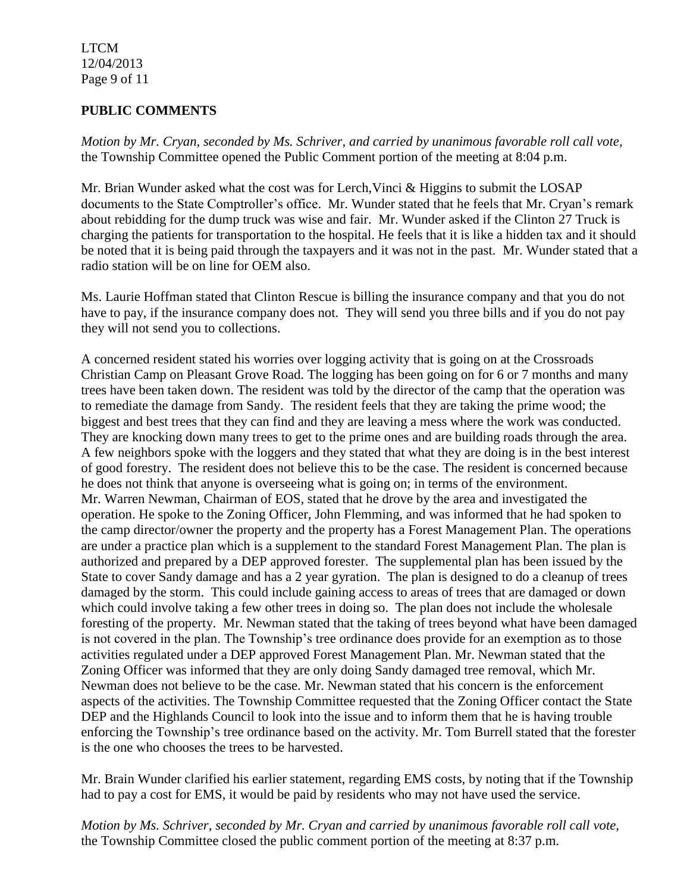LTCM 12/04/2013 Page 9 of 11

### **PUBLIC COMMENTS**

*Motion by Mr. Cryan, seconded by Ms. Schriver, and carried by unanimous favorable roll call vote,* the Township Committee opened the Public Comment portion of the meeting at 8:04 p.m.

Mr. Brian Wunder asked what the cost was for Lerch,Vinci & Higgins to submit the LOSAP documents to the State Comptroller's office. Mr. Wunder stated that he feels that Mr. Cryan's remark about rebidding for the dump truck was wise and fair. Mr. Wunder asked if the Clinton 27 Truck is charging the patients for transportation to the hospital. He feels that it is like a hidden tax and it should be noted that it is being paid through the taxpayers and it was not in the past. Mr. Wunder stated that a radio station will be on line for OEM also.

Ms. Laurie Hoffman stated that Clinton Rescue is billing the insurance company and that you do not have to pay, if the insurance company does not. They will send you three bills and if you do not pay they will not send you to collections.

A concerned resident stated his worries over logging activity that is going on at the Crossroads Christian Camp on Pleasant Grove Road. The logging has been going on for 6 or 7 months and many trees have been taken down. The resident was told by the director of the camp that the operation was to remediate the damage from Sandy. The resident feels that they are taking the prime wood; the biggest and best trees that they can find and they are leaving a mess where the work was conducted. They are knocking down many trees to get to the prime ones and are building roads through the area. A few neighbors spoke with the loggers and they stated that what they are doing is in the best interest of good forestry. The resident does not believe this to be the case. The resident is concerned because he does not think that anyone is overseeing what is going on; in terms of the environment. Mr. Warren Newman, Chairman of EOS, stated that he drove by the area and investigated the operation. He spoke to the Zoning Officer, John Flemming, and was informed that he had spoken to the camp director/owner the property and the property has a Forest Management Plan. The operations are under a practice plan which is a supplement to the standard Forest Management Plan. The plan is authorized and prepared by a DEP approved forester. The supplemental plan has been issued by the State to cover Sandy damage and has a 2 year gyration. The plan is designed to do a cleanup of trees damaged by the storm. This could include gaining access to areas of trees that are damaged or down which could involve taking a few other trees in doing so. The plan does not include the wholesale foresting of the property. Mr. Newman stated that the taking of trees beyond what have been damaged is not covered in the plan. The Township's tree ordinance does provide for an exemption as to those activities regulated under a DEP approved Forest Management Plan. Mr. Newman stated that the Zoning Officer was informed that they are only doing Sandy damaged tree removal, which Mr. Newman does not believe to be the case. Mr. Newman stated that his concern is the enforcement aspects of the activities. The Township Committee requested that the Zoning Officer contact the State DEP and the Highlands Council to look into the issue and to inform them that he is having trouble enforcing the Township's tree ordinance based on the activity. Mr. Tom Burrell stated that the forester is the one who chooses the trees to be harvested.

Mr. Brain Wunder clarified his earlier statement, regarding EMS costs, by noting that if the Township had to pay a cost for EMS, it would be paid by residents who may not have used the service.

*Motion by Ms. Schriver, seconded by Mr. Cryan and carried by unanimous favorable roll call vote,* the Township Committee closed the public comment portion of the meeting at 8:37 p.m.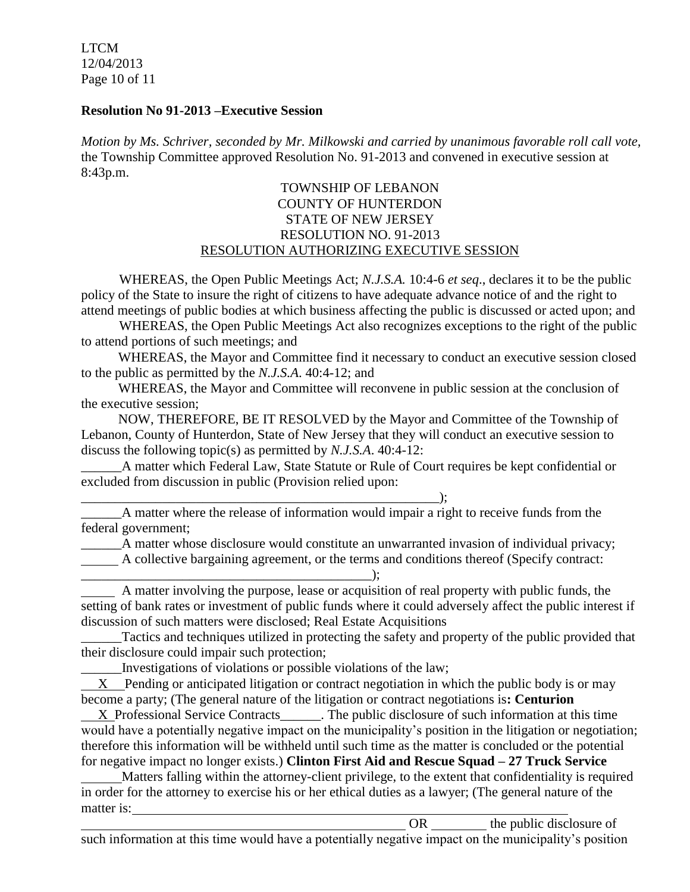LTCM 12/04/2013 Page 10 of 11

### **Resolution No 91-2013 –Executive Session**

*Motion by Ms. Schriver, seconded by Mr. Milkowski and carried by unanimous favorable roll call vote,* the Township Committee approved Resolution No. 91-2013 and convened in executive session at 8:43p.m.

### TOWNSHIP OF LEBANON COUNTY OF HUNTERDON STATE OF NEW JERSEY RESOLUTION NO. 91-2013 RESOLUTION AUTHORIZING EXECUTIVE SESSION

WHEREAS, the Open Public Meetings Act; *N.J.S.A.* 10:4-6 *et seq*., declares it to be the public policy of the State to insure the right of citizens to have adequate advance notice of and the right to attend meetings of public bodies at which business affecting the public is discussed or acted upon; and

WHEREAS, the Open Public Meetings Act also recognizes exceptions to the right of the public to attend portions of such meetings; and

 WHEREAS, the Mayor and Committee find it necessary to conduct an executive session closed to the public as permitted by the *N.J.S.A*. 40:4-12; and

 WHEREAS, the Mayor and Committee will reconvene in public session at the conclusion of the executive session;

 NOW, THEREFORE, BE IT RESOLVED by the Mayor and Committee of the Township of Lebanon, County of Hunterdon, State of New Jersey that they will conduct an executive session to discuss the following topic(s) as permitted by *N.J.S.A*. 40:4-12:

A matter which Federal Law, State Statute or Rule of Court requires be kept confidential or excluded from discussion in public (Provision relied upon:

\_\_\_\_\_\_\_\_\_\_\_\_\_\_\_\_\_\_\_\_\_\_\_\_\_\_\_\_\_\_\_\_\_\_\_\_\_\_\_\_\_\_\_\_\_\_\_\_\_\_\_\_\_); \_\_\_\_\_\_A matter where the release of information would impair a right to receive funds from the federal government;

\_\_\_\_\_\_A matter whose disclosure would constitute an unwarranted invasion of individual privacy; A collective bargaining agreement, or the terms and conditions thereof (Specify contract:

\_\_\_\_\_\_\_\_\_\_\_\_\_\_\_\_\_\_\_\_\_\_\_\_\_\_\_\_\_\_\_\_\_\_\_\_\_\_\_\_\_\_\_);

 A matter involving the purpose, lease or acquisition of real property with public funds, the setting of bank rates or investment of public funds where it could adversely affect the public interest if discussion of such matters were disclosed; Real Estate Acquisitions

\_\_\_\_\_\_Tactics and techniques utilized in protecting the safety and property of the public provided that their disclosure could impair such protection;

\_\_\_\_\_\_Investigations of violations or possible violations of the law;

 X Pending or anticipated litigation or contract negotiation in which the public body is or may become a party; (The general nature of the litigation or contract negotiations is**: Centurion**

X Professional Service Contracts The public disclosure of such information at this time would have a potentially negative impact on the municipality's position in the litigation or negotiation; therefore this information will be withheld until such time as the matter is concluded or the potential for negative impact no longer exists.) **Clinton First Aid and Rescue Squad – 27 Truck Service**

 Matters falling within the attorney-client privilege, to the extent that confidentiality is required in order for the attorney to exercise his or her ethical duties as a lawyer; (The general nature of the matter is:

OR the public disclosure of such information at this time would have a potentially negative impact on the municipality's position